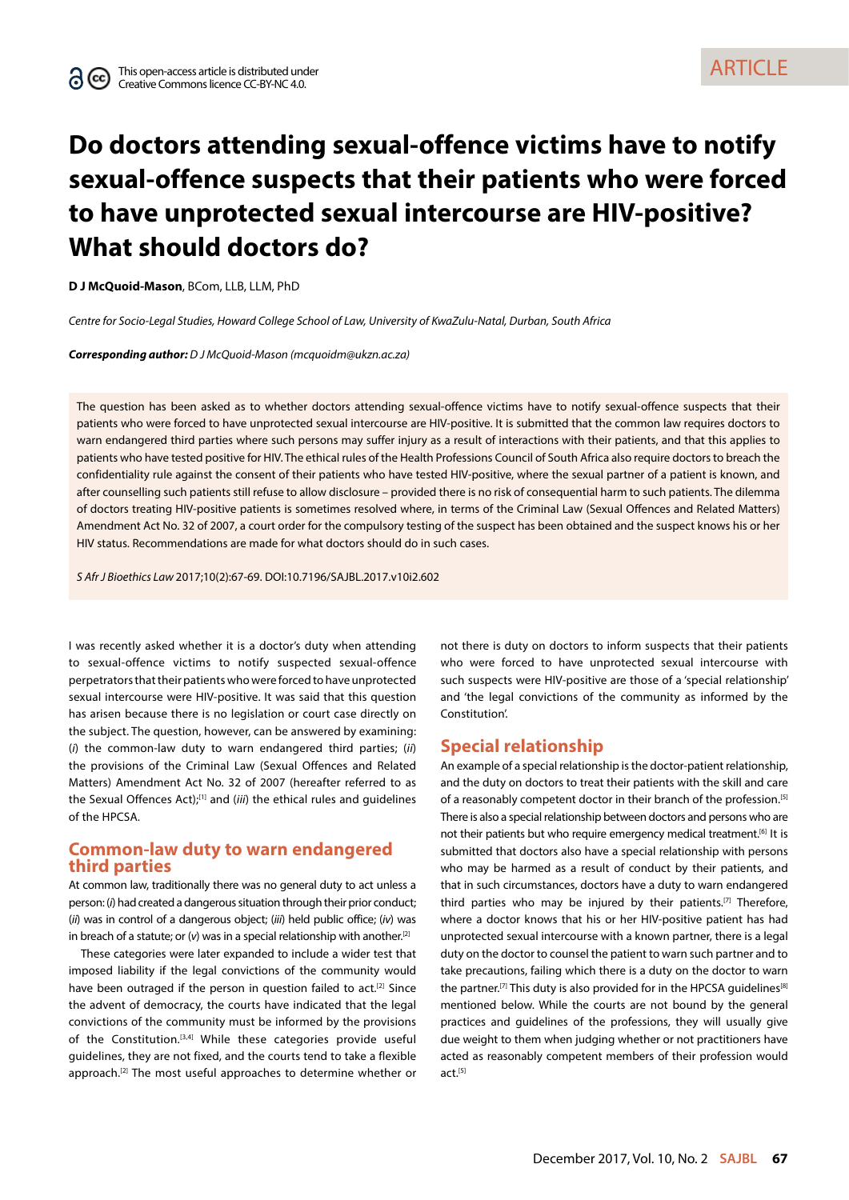# **Do doctors attending sexual-offence victims have to notify sexual-offence suspects that their patients who were forced to have unprotected sexual intercourse are HIV-positive? What should doctors do?**

**D J McQuoid-Mason**, BCom, LLB, LLM, PhD

*Centre for Socio-Legal Studies, Howard College School of Law, University of KwaZulu-Natal, Durban, South Africa*

*Corresponding author: D J McQuoid-Mason (mcquoidm@ukzn.ac.za)* 

The question has been asked as to whether doctors attending sexual-offence victims have to notify sexual-offence suspects that their patients who were forced to have unprotected sexual intercourse are HIV-positive. It is submitted that the common law requires doctors to warn endangered third parties where such persons may suffer injury as a result of interactions with their patients, and that this applies to patients who have tested positive for HIV. The ethical rules of the Health Professions Council of South Africa also require doctors to breach the confidentiality rule against the consent of their patients who have tested HIV-positive, where the sexual partner of a patient is known, and after counselling such patients still refuse to allow disclosure – provided there is no risk of consequential harm to such patients. The dilemma of doctors treating HIV-positive patients is sometimes resolved where, in terms of the Criminal Law (Sexual Offences and Related Matters) Amendment Act No. 32 of 2007, a court order for the compulsory testing of the suspect has been obtained and the suspect knows his or her HIV status. Recommendations are made for what doctors should do in such cases.

*S Afr J Bioethics Law* 2017;10(2):67-69. DOI:10.7196/SAJBL.2017.v10i2.602

I was recently asked whether it is a doctor's duty when attending to sexual-offence victims to notify suspected sexual-offence perpetrators that their patients who were forced to have unprotected sexual intercourse were HIV-positive. It was said that this question has arisen because there is no legislation or court case directly on the subject. The question, however, can be answered by examining: (*i*) the common-law duty to warn endangered third parties; (*ii*) the provisions of the Criminal Law (Sexual Offences and Related Matters) Amendment Act No. 32 of 2007 (hereafter referred to as the Sexual Offences Act);[1] and (*iii*) the ethical rules and guidelines of the HPCSA.

# **Common-law duty to warn endangered third parties**

At common law, traditionally there was no general duty to act unless a person: (*i*) had created a dangerous situation through their prior conduct; (*ii*) was in control of a dangerous object; (*iii*) held public office; (*iv*) was in breach of a statute; or  $(v)$  was in a special relationship with another.<sup>[2]</sup>

These categories were later expanded to include a wider test that imposed liability if the legal convictions of the community would have been outraged if the person in question failed to act.<sup>[2]</sup> Since the advent of democracy, the courts have indicated that the legal convictions of the community must be informed by the provisions of the Constitution.<sup>[3,4]</sup> While these categories provide useful guidelines, they are not fixed, and the courts tend to take a flexible approach.[2] The most useful approaches to determine whether or not there is duty on doctors to inform suspects that their patients who were forced to have unprotected sexual intercourse with such suspects were HIV-positive are those of a 'special relationship' and 'the legal convictions of the community as informed by the Constitution'.

### **Special relationship**

An example of a special relationship is the doctor-patient relationship, and the duty on doctors to treat their patients with the skill and care of a reasonably competent doctor in their branch of the profession.<sup>[5]</sup> There is also a special relationship between doctors and persons who are not their patients but who require emergency medical treatment.<sup>[6]</sup> It is submitted that doctors also have a special relationship with persons who may be harmed as a result of conduct by their patients, and that in such circumstances, doctors have a duty to warn endangered third parties who may be injured by their patients.<sup>[7]</sup> Therefore, where a doctor knows that his or her HIV-positive patient has had unprotected sexual intercourse with a known partner, there is a legal duty on the doctor to counsel the patient to warn such partner and to take precautions, failing which there is a duty on the doctor to warn the partner.<sup>[7]</sup> This duty is also provided for in the HPCSA guidelines<sup>[8]</sup> mentioned below. While the courts are not bound by the general practices and guidelines of the professions, they will usually give due weight to them when judging whether or not practitioners have acted as reasonably competent members of their profession would act.<sup>[5]</sup>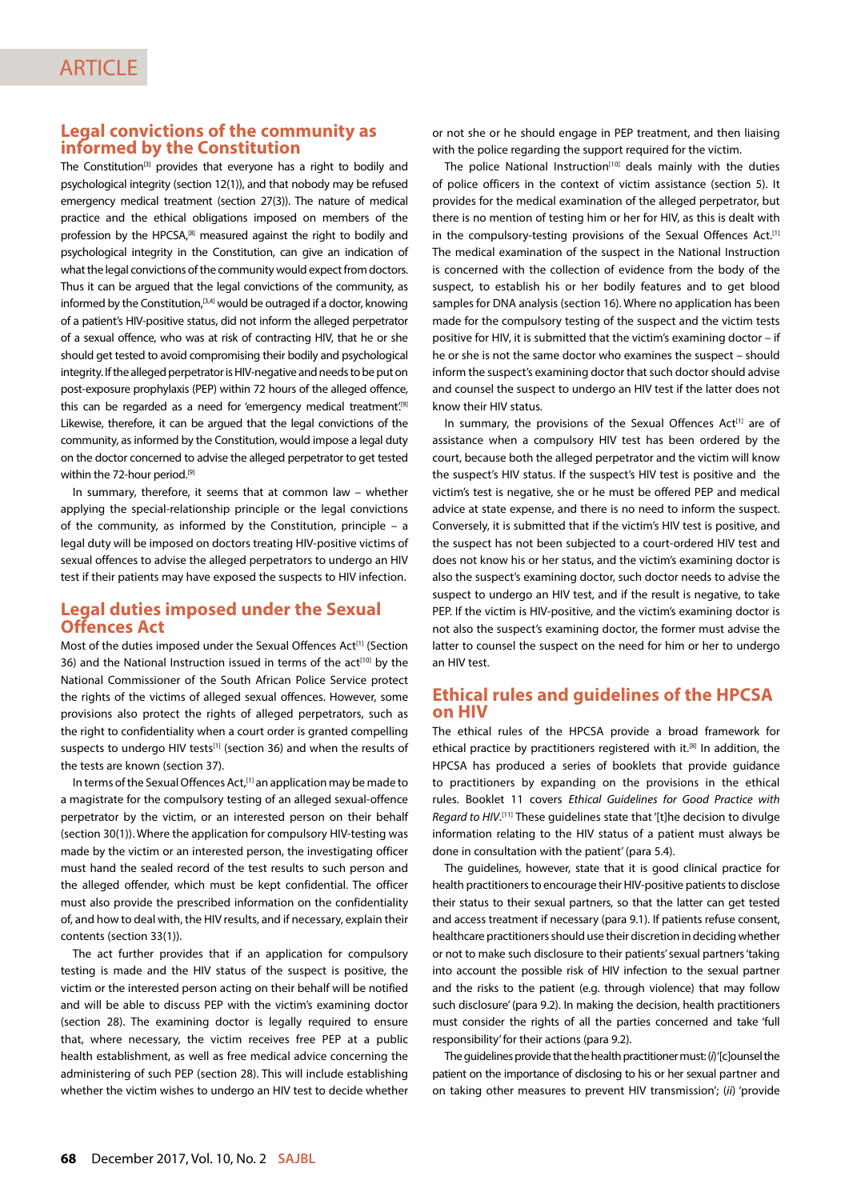### **Legal convictions of the community as informed by the Constitution**

The Constitution<sup>[3]</sup> provides that everyone has a right to bodily and psychological integrity (section 12(1)), and that nobody may be refused emergency medical treatment (section 27(3)). The nature of medical practice and the ethical obligations imposed on members of the profession by the HPCSA,<sup>[8]</sup> measured against the right to bodily and psychological integrity in the Constitution, can give an indication of what the legal convictions of the community would expect from doctors. Thus it can be argued that the legal convictions of the community, as informed by the Constitution,<sup>[3,4]</sup> would be outraged if a doctor, knowing of a patient's HIV-positive status, did not inform the alleged perpetrator of a sexual offence, who was at risk of contracting HIV, that he or she should get tested to avoid compromising their bodily and psychological integrity. If the alleged perpetrator is HIV-negative and needs to be put on post-exposure prophylaxis (PEP) within 72 hours of the alleged offence, this can be regarded as a need for 'emergency medical treatment'.<sup>[9]</sup> Likewise, therefore, it can be argued that the legal convictions of the community, as informed by the Constitution, would impose a legal duty on the doctor concerned to advise the alleged perpetrator to get tested within the 72-hour period.<sup>[9]</sup>

In summary, therefore, it seems that at common law – whether applying the special-relationship principle or the legal convictions of the community, as informed by the Constitution, principle – a legal duty will be imposed on doctors treating HIV-positive victims of sexual offences to advise the alleged perpetrators to undergo an HIV test if their patients may have exposed the suspects to HIV infection.

### **Legal duties imposed under the Sexual Offences Act**

Most of the duties imposed under the Sexual Offences Act<sup>[1]</sup> (Section 36) and the National Instruction issued in terms of the act<sup>[10]</sup> by the National Commissioner of the South African Police Service protect the rights of the victims of alleged sexual offences. However, some provisions also protect the rights of alleged perpetrators, such as the right to confidentiality when a court order is granted compelling suspects to undergo HIV tests<sup>[1]</sup> (section 36) and when the results of the tests are known (section 37).

In terms of the Sexual Offences Act,<sup>[1]</sup> an application may be made to a magistrate for the compulsory testing of an alleged sexual-offence perpetrator by the victim, or an interested person on their behalf (section 30(1)). Where the application for compulsory HIV-testing was made by the victim or an interested person, the investigating officer must hand the sealed record of the test results to such person and the alleged offender, which must be kept confidential. The officer must also provide the prescribed information on the confidentiality of, and how to deal with, the HIV results, and if necessary, explain their contents (section 33(1)).

The act further provides that if an application for compulsory testing is made and the HIV status of the suspect is positive, the victim or the interested person acting on their behalf will be notified and will be able to discuss PEP with the victim's examining doctor (section 28). The examining doctor is legally required to ensure that, where necessary, the victim receives free PEP at a public health establishment, as well as free medical advice concerning the administering of such PEP (section 28). This will include establishing whether the victim wishes to undergo an HIV test to decide whether

or not she or he should engage in PEP treatment, and then liaising with the police regarding the support required for the victim.

The police National Instruction $[10]$  deals mainly with the duties of police officers in the context of victim assistance (section 5). It provides for the medical examination of the alleged perpetrator, but there is no mention of testing him or her for HIV, as this is dealt with in the compulsory-testing provisions of the Sexual Offences Act.<sup>[1]</sup> The medical examination of the suspect in the National Instruction is concerned with the collection of evidence from the body of the suspect, to establish his or her bodily features and to get blood samples for DNA analysis (section 16). Where no application has been made for the compulsory testing of the suspect and the victim tests positive for HIV, it is submitted that the victim's examining doctor – if he or she is not the same doctor who examines the suspect – should inform the suspect's examining doctor that such doctor should advise and counsel the suspect to undergo an HIV test if the latter does not know their HIV status.

In summary, the provisions of the Sexual Offences Act<sup>[1]</sup> are of assistance when a compulsory HIV test has been ordered by the court, because both the alleged perpetrator and the victim will know the suspect's HIV status. If the suspect's HIV test is positive and the victim's test is negative, she or he must be offered PEP and medical advice at state expense, and there is no need to inform the suspect. Conversely, it is submitted that if the victim's HIV test is positive, and the suspect has not been subjected to a court-ordered HIV test and does not know his or her status, and the victim's examining doctor is also the suspect's examining doctor, such doctor needs to advise the suspect to undergo an HIV test, and if the result is negative, to take PEP. If the victim is HIV-positive, and the victim's examining doctor is not also the suspect's examining doctor, the former must advise the latter to counsel the suspect on the need for him or her to undergo an HIV test.

# **Ethical rules and guidelines of the HPCSA on HIV**

The ethical rules of the HPCSA provide a broad framework for ethical practice by practitioners registered with it.<sup>[8]</sup> In addition, the HPCSA has produced a series of booklets that provide guidance to practitioners by expanding on the provisions in the ethical rules. Booklet 11 covers *Ethical Guidelines for Good Practice with*  Regard to HIV.<sup>[11]</sup> These guidelines state that '[t]he decision to divulge information relating to the HIV status of a patient must always be done in consultation with the patient' (para 5.4).

The guidelines, however, state that it is good clinical practice for health practitioners to encourage their HIV-positive patients to disclose their status to their sexual partners, so that the latter can get tested and access treatment if necessary (para 9.1). If patients refuse consent, healthcare practitioners should use their discretion in deciding whether or not to make such disclosure to their patients' sexual partners 'taking into account the possible risk of HIV infection to the sexual partner and the risks to the patient (e.g. through violence) that may follow such disclosure' (para 9.2). In making the decision, health practitioners must consider the rights of all the parties concerned and take 'full responsibility' for their actions (para 9.2).

The guidelines provide that the health practitioner must: (*i*) '[c]ounsel the patient on the importance of disclosing to his or her sexual partner and on taking other measures to prevent HIV transmission'; (*ii*) 'provide